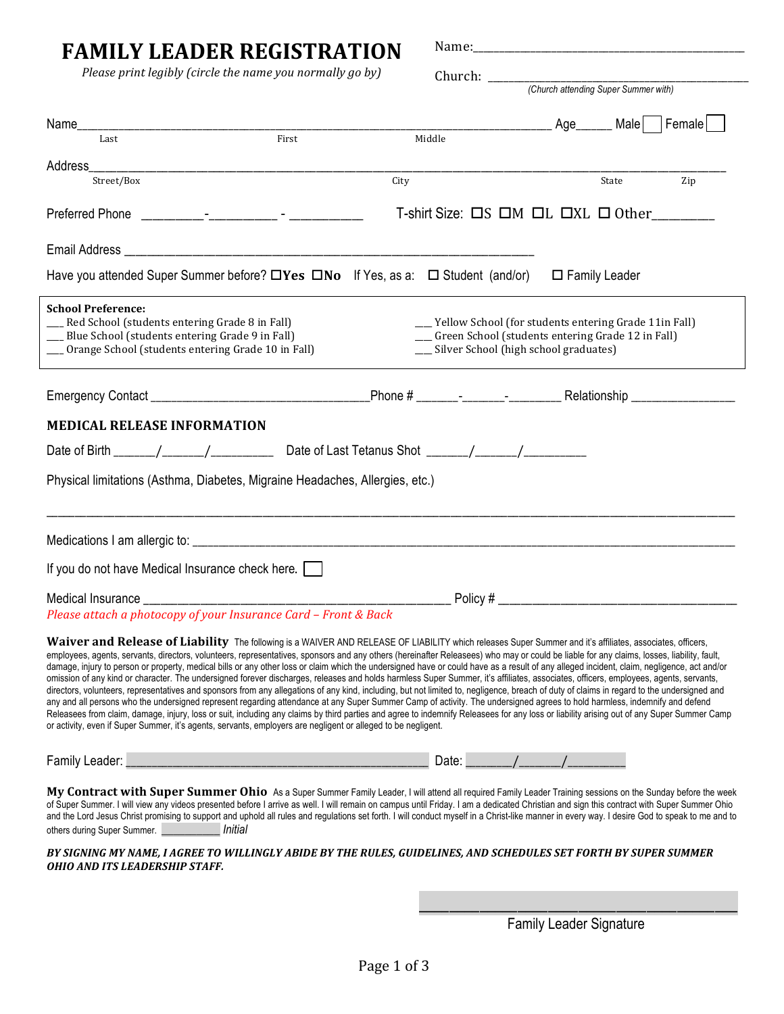| <b>FAMILY LEADER REGISTRATION</b>                                                                                                                                                                                                                                                                                                                                                                                                                                                                                                                                                                                                                                                                                                                                                                                                                                                                                                                                                                                                                                                                                                                                                                                                                                                                                                                                                                                                      |                                                                                                                                                              |                         |     |  |
|----------------------------------------------------------------------------------------------------------------------------------------------------------------------------------------------------------------------------------------------------------------------------------------------------------------------------------------------------------------------------------------------------------------------------------------------------------------------------------------------------------------------------------------------------------------------------------------------------------------------------------------------------------------------------------------------------------------------------------------------------------------------------------------------------------------------------------------------------------------------------------------------------------------------------------------------------------------------------------------------------------------------------------------------------------------------------------------------------------------------------------------------------------------------------------------------------------------------------------------------------------------------------------------------------------------------------------------------------------------------------------------------------------------------------------------|--------------------------------------------------------------------------------------------------------------------------------------------------------------|-------------------------|-----|--|
| Please print legibly (circle the name you normally go by)                                                                                                                                                                                                                                                                                                                                                                                                                                                                                                                                                                                                                                                                                                                                                                                                                                                                                                                                                                                                                                                                                                                                                                                                                                                                                                                                                                              |                                                                                                                                                              |                         |     |  |
|                                                                                                                                                                                                                                                                                                                                                                                                                                                                                                                                                                                                                                                                                                                                                                                                                                                                                                                                                                                                                                                                                                                                                                                                                                                                                                                                                                                                                                        |                                                                                                                                                              |                         |     |  |
|                                                                                                                                                                                                                                                                                                                                                                                                                                                                                                                                                                                                                                                                                                                                                                                                                                                                                                                                                                                                                                                                                                                                                                                                                                                                                                                                                                                                                                        |                                                                                                                                                              | Age______ Male   Female |     |  |
| First<br>Last                                                                                                                                                                                                                                                                                                                                                                                                                                                                                                                                                                                                                                                                                                                                                                                                                                                                                                                                                                                                                                                                                                                                                                                                                                                                                                                                                                                                                          | Middle                                                                                                                                                       |                         |     |  |
|                                                                                                                                                                                                                                                                                                                                                                                                                                                                                                                                                                                                                                                                                                                                                                                                                                                                                                                                                                                                                                                                                                                                                                                                                                                                                                                                                                                                                                        |                                                                                                                                                              |                         |     |  |
| Street/Box<br>City                                                                                                                                                                                                                                                                                                                                                                                                                                                                                                                                                                                                                                                                                                                                                                                                                                                                                                                                                                                                                                                                                                                                                                                                                                                                                                                                                                                                                     |                                                                                                                                                              | State                   | Zip |  |
|                                                                                                                                                                                                                                                                                                                                                                                                                                                                                                                                                                                                                                                                                                                                                                                                                                                                                                                                                                                                                                                                                                                                                                                                                                                                                                                                                                                                                                        | T-shirt Size: $\Box$ S $\Box$ M $\Box$ L $\Box$ XL $\Box$ Other                                                                                              |                         |     |  |
|                                                                                                                                                                                                                                                                                                                                                                                                                                                                                                                                                                                                                                                                                                                                                                                                                                                                                                                                                                                                                                                                                                                                                                                                                                                                                                                                                                                                                                        |                                                                                                                                                              |                         |     |  |
| Have you attended Super Summer before? $\Box$ Yes $\Box$ No If Yes, as a: $\Box$ Student (and/or)                                                                                                                                                                                                                                                                                                                                                                                                                                                                                                                                                                                                                                                                                                                                                                                                                                                                                                                                                                                                                                                                                                                                                                                                                                                                                                                                      |                                                                                                                                                              | $\square$ Family Leader |     |  |
| <b>School Preference:</b><br>Red School (students entering Grade 8 in Fall)<br>__ Blue School (students entering Grade 9 in Fall)<br>__ Orange School (students entering Grade 10 in Fall)                                                                                                                                                                                                                                                                                                                                                                                                                                                                                                                                                                                                                                                                                                                                                                                                                                                                                                                                                                                                                                                                                                                                                                                                                                             | __ Yellow School (for students entering Grade 11in Fall)<br>__ Green School (students entering Grade 12 in Fall)<br>__ Silver School (high school graduates) |                         |     |  |
|                                                                                                                                                                                                                                                                                                                                                                                                                                                                                                                                                                                                                                                                                                                                                                                                                                                                                                                                                                                                                                                                                                                                                                                                                                                                                                                                                                                                                                        |                                                                                                                                                              |                         |     |  |
| <b>MEDICAL RELEASE INFORMATION</b>                                                                                                                                                                                                                                                                                                                                                                                                                                                                                                                                                                                                                                                                                                                                                                                                                                                                                                                                                                                                                                                                                                                                                                                                                                                                                                                                                                                                     |                                                                                                                                                              |                         |     |  |
|                                                                                                                                                                                                                                                                                                                                                                                                                                                                                                                                                                                                                                                                                                                                                                                                                                                                                                                                                                                                                                                                                                                                                                                                                                                                                                                                                                                                                                        |                                                                                                                                                              |                         |     |  |
| Physical limitations (Asthma, Diabetes, Migraine Headaches, Allergies, etc.)                                                                                                                                                                                                                                                                                                                                                                                                                                                                                                                                                                                                                                                                                                                                                                                                                                                                                                                                                                                                                                                                                                                                                                                                                                                                                                                                                           |                                                                                                                                                              |                         |     |  |
|                                                                                                                                                                                                                                                                                                                                                                                                                                                                                                                                                                                                                                                                                                                                                                                                                                                                                                                                                                                                                                                                                                                                                                                                                                                                                                                                                                                                                                        |                                                                                                                                                              |                         |     |  |
| If you do not have Medical Insurance check here.                                                                                                                                                                                                                                                                                                                                                                                                                                                                                                                                                                                                                                                                                                                                                                                                                                                                                                                                                                                                                                                                                                                                                                                                                                                                                                                                                                                       |                                                                                                                                                              |                         |     |  |
| Medical Insurance<br>Please attach a photocopy of your Insurance Card - Front & Back                                                                                                                                                                                                                                                                                                                                                                                                                                                                                                                                                                                                                                                                                                                                                                                                                                                                                                                                                                                                                                                                                                                                                                                                                                                                                                                                                   | Policy#                                                                                                                                                      |                         |     |  |
| Waiver and Release of Liability The following is a WAIVER AND RELEASE OF LIABILITY which releases Super Summer and it's affiliates, associates, officers,<br>employees, agents, servants, directors, volunteers, representatives, sponsors and any others (hereinafter Releasees) who may or could be liable for any claims, losses, liability, fault,<br>damage, injury to person or property, medical bills or any other loss or claim which the undersigned have or could have as a result of any alleged incident, claim, negligence, act and/or<br>omission of any kind or character. The undersigned forever discharges, releases and holds harmless Super Summer, it's affiliates, associates, officers, employees, agents, servants,<br>directors, volunteers, representatives and sponsors from any allegations of any kind, including, but not limited to, negligence, breach of duty of claims in regard to the undersigned and<br>any and all persons who the undersigned represent regarding attendance at any Super Summer Camp of activity. The undersigned agrees to hold harmless, indemnify and defend<br>Releasees from claim, damage, injury, loss or suit, including any claims by third parties and agree to indemnify Releasees for any loss or liability arising out of any Super Summer Camp<br>or activity, even if Super Summer, it's agents, servants, employers are negligent or alleged to be negligent. |                                                                                                                                                              |                         |     |  |
| Family Leader: _                                                                                                                                                                                                                                                                                                                                                                                                                                                                                                                                                                                                                                                                                                                                                                                                                                                                                                                                                                                                                                                                                                                                                                                                                                                                                                                                                                                                                       | Date: $\sqrt{2}$                                                                                                                                             |                         |     |  |
| My Contract with Super Summer Ohio As a Super Summer Family Leader, I will attend all required Family Leader Training sessions on the Sunday before the week<br>of Super Summer. I will view any videos presented before I arrive as well. I will remain on campus until Friday. I am a dedicated Christian and sign this contract with Super Summer Ohio<br>and the Lord Jesus Christ promising to support and uphold all rules and regulations set forth. I will conduct myself in a Christ-like manner in every way. I desire God to speak to me and to<br>others during Super Summer. _______________ Initial<br>RV SICNING MV NAME I ACREE TO WII I INCI V ARIDE RV THE DIH ES-CHIDEI INES-AND SCHEDHI ES SET EORTH RV SHPER SHMMER                                                                                                                                                                                                                                                                                                                                                                                                                                                                                                                                                                                                                                                                                               |                                                                                                                                                              |                         |     |  |

*Y SIGNING MY NAME, I AGREE TO OHIO AND ITS LEADERSHIP STAFF.* 

> \_\_\_\_\_\_\_\_\_\_\_\_\_\_\_\_\_\_\_\_\_\_\_\_\_\_\_\_\_\_\_\_\_\_\_\_\_\_\_\_\_\_ Family Leader Signature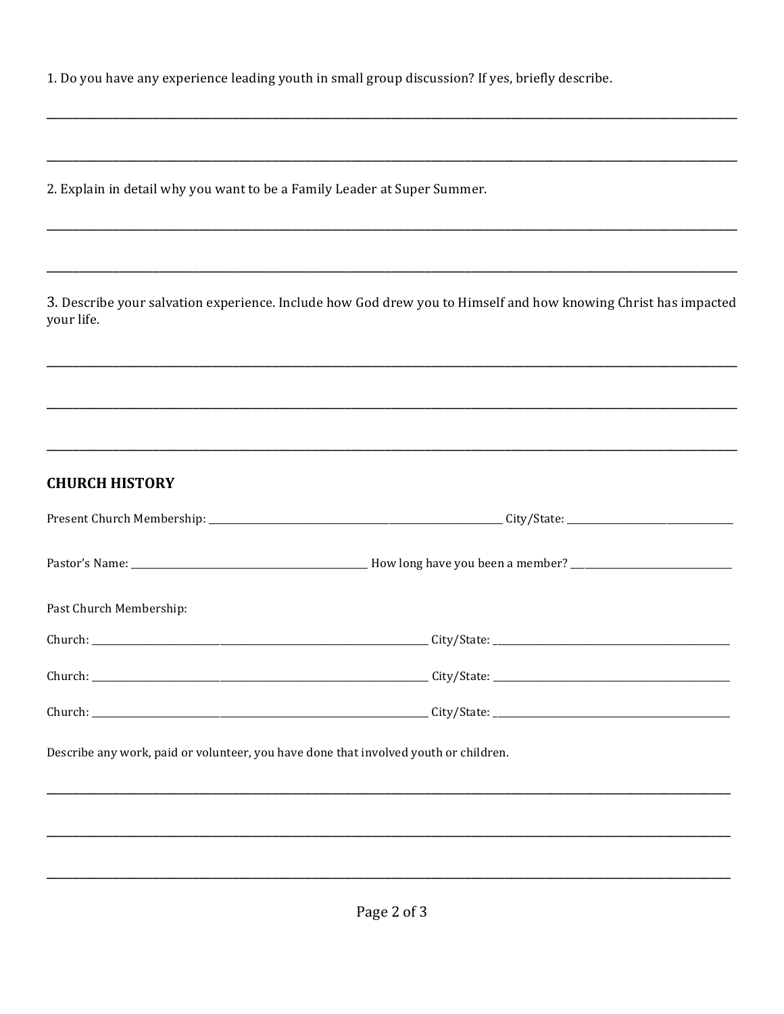1. Do you have any experience leading youth in small group discussion? If yes, briefly describe.

2. Explain in detail why you want to be a Family Leader at Super Summer.

3. Describe your salvation experience. Include how God drew you to Himself and how knowing Christ has impacted your life.

## **CHURCH HISTORY**

| Past Church Membership:                                                              |  |  |  |
|--------------------------------------------------------------------------------------|--|--|--|
|                                                                                      |  |  |  |
|                                                                                      |  |  |  |
|                                                                                      |  |  |  |
| Describe any work, paid or volunteer, you have done that involved youth or children. |  |  |  |
|                                                                                      |  |  |  |
|                                                                                      |  |  |  |